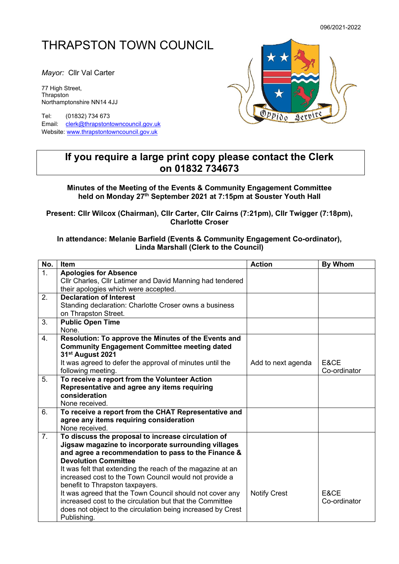## THRAPSTON TOWN COUNCIL

*Mayor:* Cllr Val Carter

77 High Street, Thrapston Northamptonshire NN14 4JJ

Tel: (01832) 734 673 Email: [clerk@thrapstontowncouncil.gov.uk](mailto:clerk@thrapstontowncouncil.gov.uk) Website[: www.thrapstontowncouncil.gov.uk](http://www.thrapstontowncouncil.gov.uk/)



## **If you require a large print copy please contact the Clerk on 01832 734673**

**Minutes of the Meeting of the Events & Community Engagement Committee held on Monday 27th September 2021 at 7:15pm at Souster Youth Hall**

**Present: Cllr Wilcox (Chairman), Cllr Carter, Cllr Cairns (7:21pm), Cllr Twigger (7:18pm), Charlotte Croser**

## **In attendance: Melanie Barfield (Events & Community Engagement Co-ordinator), Linda Marshall (Clerk to the Council)**

| No.            | Item                                                                                                                 | <b>Action</b>       | <b>By Whom</b>  |
|----------------|----------------------------------------------------------------------------------------------------------------------|---------------------|-----------------|
| 1.             | <b>Apologies for Absence</b>                                                                                         |                     |                 |
|                | Cllr Charles, Cllr Latimer and David Manning had tendered                                                            |                     |                 |
|                | their apologies which were accepted.                                                                                 |                     |                 |
| 2.             | <b>Declaration of Interest</b>                                                                                       |                     |                 |
|                | Standing declaration: Charlotte Croser owns a business                                                               |                     |                 |
|                | on Thrapston Street.                                                                                                 |                     |                 |
| 3.             | <b>Public Open Time</b>                                                                                              |                     |                 |
|                | None.                                                                                                                |                     |                 |
| 4.             | Resolution: To approve the Minutes of the Events and                                                                 |                     |                 |
|                | <b>Community Engagement Committee meeting dated</b>                                                                  |                     |                 |
|                | 31 <sup>st</sup> August 2021                                                                                         |                     |                 |
|                | It was agreed to defer the approval of minutes until the                                                             | Add to next agenda  | E&CE            |
|                | following meeting.                                                                                                   |                     | Co-ordinator    |
| 5.             | To receive a report from the Volunteer Action                                                                        |                     |                 |
|                | Representative and agree any items requiring                                                                         |                     |                 |
|                | consideration                                                                                                        |                     |                 |
|                | None received.                                                                                                       |                     |                 |
| 6.             | To receive a report from the CHAT Representative and                                                                 |                     |                 |
|                | agree any items requiring consideration                                                                              |                     |                 |
|                | None received.                                                                                                       |                     |                 |
| 7 <sub>1</sub> | To discuss the proposal to increase circulation of                                                                   |                     |                 |
|                | Jigsaw magazine to incorporate surrounding villages                                                                  |                     |                 |
|                | and agree a recommendation to pass to the Finance &<br><b>Devolution Committee</b>                                   |                     |                 |
|                |                                                                                                                      |                     |                 |
|                | It was felt that extending the reach of the magazine at an                                                           |                     |                 |
|                | increased cost to the Town Council would not provide a                                                               |                     |                 |
|                | benefit to Thrapston taxpayers.                                                                                      |                     | <b>F&amp;CF</b> |
|                | It was agreed that the Town Council should not cover any<br>increased cost to the circulation but that the Committee | <b>Notify Crest</b> | Co-ordinator    |
|                |                                                                                                                      |                     |                 |
|                | does not object to the circulation being increased by Crest                                                          |                     |                 |
|                | Publishing.                                                                                                          |                     |                 |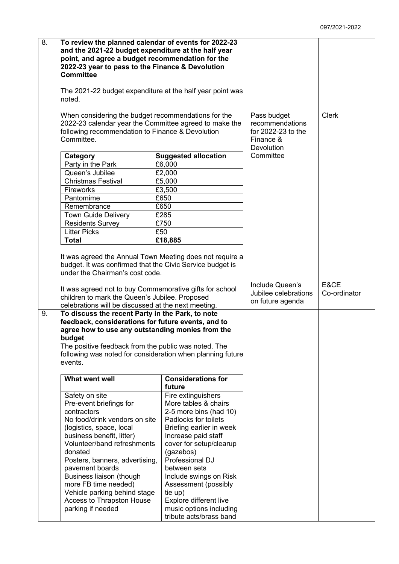| 8. | To review the planned calendar of events for 2022-23<br>and the 2021-22 budget expenditure at the half year<br>point, and agree a budget recommendation for the<br>2022-23 year to pass to the Finance & Devolution<br><b>Committee</b><br>The 2021-22 budget expenditure at the half year point was<br>noted. |                                                                                                                                                                                                                                                                              |                                                                                 |                      |
|----|----------------------------------------------------------------------------------------------------------------------------------------------------------------------------------------------------------------------------------------------------------------------------------------------------------------|------------------------------------------------------------------------------------------------------------------------------------------------------------------------------------------------------------------------------------------------------------------------------|---------------------------------------------------------------------------------|----------------------|
|    | When considering the budget recommendations for the<br>2022-23 calendar year the Committee agreed to make the<br>following recommendation to Finance & Devolution<br>Committee.                                                                                                                                |                                                                                                                                                                                                                                                                              | Pass budget<br>recommendations<br>for 2022-23 to the<br>Finance &<br>Devolution | <b>Clerk</b>         |
|    | Category                                                                                                                                                                                                                                                                                                       | <b>Suggested allocation</b>                                                                                                                                                                                                                                                  | Committee                                                                       |                      |
|    | Party in the Park                                                                                                                                                                                                                                                                                              | £6,000                                                                                                                                                                                                                                                                       |                                                                                 |                      |
|    | Queen's Jubilee                                                                                                                                                                                                                                                                                                | £2,000                                                                                                                                                                                                                                                                       |                                                                                 |                      |
|    | <b>Christmas Festival</b>                                                                                                                                                                                                                                                                                      | £5,000                                                                                                                                                                                                                                                                       |                                                                                 |                      |
|    | Fireworks                                                                                                                                                                                                                                                                                                      | £3,500                                                                                                                                                                                                                                                                       |                                                                                 |                      |
|    | Pantomime                                                                                                                                                                                                                                                                                                      | £650                                                                                                                                                                                                                                                                         |                                                                                 |                      |
|    | Remembrance                                                                                                                                                                                                                                                                                                    | £650                                                                                                                                                                                                                                                                         |                                                                                 |                      |
|    | <b>Town Guide Delivery</b>                                                                                                                                                                                                                                                                                     | £285                                                                                                                                                                                                                                                                         |                                                                                 |                      |
|    | <b>Residents Survey</b>                                                                                                                                                                                                                                                                                        | £750                                                                                                                                                                                                                                                                         |                                                                                 |                      |
|    | <b>Litter Picks</b>                                                                                                                                                                                                                                                                                            | £50                                                                                                                                                                                                                                                                          |                                                                                 |                      |
|    | <b>Total</b>                                                                                                                                                                                                                                                                                                   | £18,885                                                                                                                                                                                                                                                                      |                                                                                 |                      |
|    |                                                                                                                                                                                                                                                                                                                |                                                                                                                                                                                                                                                                              |                                                                                 |                      |
|    | budget. It was confirmed that the Civic Service budget is<br>under the Chairman's cost code.<br>It was agreed not to buy Commemorative gifts for school<br>children to mark the Queen's Jubilee. Proposed<br>celebrations will be discussed at the next meeting.                                               |                                                                                                                                                                                                                                                                              | Include Queen's<br>Jubilee celebrations<br>on future agenda                     | E&CE<br>Co-ordinator |
| 9. | To discuss the recent Party in the Park, to note<br>feedback, considerations for future events, and to<br>agree how to use any outstanding monies from the<br>budget<br>The positive feedback from the public was noted. The<br>following was noted for consideration when planning future<br>events.          |                                                                                                                                                                                                                                                                              |                                                                                 |                      |
|    | What went well                                                                                                                                                                                                                                                                                                 | <b>Considerations for</b>                                                                                                                                                                                                                                                    |                                                                                 |                      |
|    |                                                                                                                                                                                                                                                                                                                | future                                                                                                                                                                                                                                                                       |                                                                                 |                      |
|    | Safety on site<br>Pre-event briefings for<br>contractors<br>No food/drink vendors on site<br>(logistics, space, local<br>business benefit, litter)<br>Volunteer/band refreshments<br>donated<br>Posters, banners, advertising,<br>pavement boards<br>Business liaison (though<br>more FB time needed)          | Fire extinguishers<br>More tables & chairs<br>2-5 more bins (had 10)<br>Padlocks for toilets<br>Briefing earlier in week<br>Increase paid staff<br>cover for setup/clearup<br>(gazebos)<br>Professional DJ<br>between sets<br>Include swings on Risk<br>Assessment (possibly |                                                                                 |                      |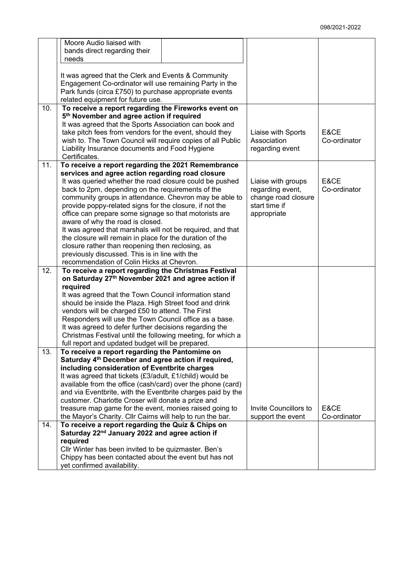|     | Moore Audio liaised with                                        |                       |              |
|-----|-----------------------------------------------------------------|-----------------------|--------------|
|     | bands direct regarding their                                    |                       |              |
|     | needs                                                           |                       |              |
|     |                                                                 |                       |              |
|     | It was agreed that the Clerk and Events & Community             |                       |              |
|     | Engagement Co-ordinator will use remaining Party in the         |                       |              |
|     | Park funds (circa £750) to purchase appropriate events          |                       |              |
|     | related equipment for future use.                               |                       |              |
| 10. | To receive a report regarding the Fireworks event on            |                       |              |
|     | 5th November and agree action if required                       |                       |              |
|     | It was agreed that the Sports Association can book and          |                       |              |
|     | take pitch fees from vendors for the event, should they         | Liaise with Sports    | E&CE         |
|     | wish to. The Town Council will require copies of all Public     | Association           | Co-ordinator |
|     | Liability Insurance documents and Food Hygiene                  | regarding event       |              |
|     | Certificates.                                                   |                       |              |
| 11. | To receive a report regarding the 2021 Remembrance              |                       |              |
|     | services and agree action regarding road closure                |                       |              |
|     | It was queried whether the road closure could be pushed         | Liaise with groups    | E&CE         |
|     | back to 2pm, depending on the requirements of the               | regarding event,      | Co-ordinator |
|     | community groups in attendance. Chevron may be able to          | change road closure   |              |
|     | provide poppy-related signs for the closure, if not the         | start time if         |              |
|     |                                                                 |                       |              |
|     | office can prepare some signage so that motorists are           | appropriate           |              |
|     | aware of why the road is closed.                                |                       |              |
|     | It was agreed that marshals will not be required, and that      |                       |              |
|     | the closure will remain in place for the duration of the        |                       |              |
|     | closure rather than reopening then reclosing, as                |                       |              |
|     | previously discussed. This is in line with the                  |                       |              |
|     | recommendation of Colin Hicks at Chevron.                       |                       |              |
| 12. | To receive a report regarding the Christmas Festival            |                       |              |
|     | on Saturday 27th November 2021 and agree action if              |                       |              |
|     | required                                                        |                       |              |
|     | It was agreed that the Town Council information stand           |                       |              |
|     | should be inside the Plaza. High Street food and drink          |                       |              |
|     | vendors will be charged £50 to attend. The First                |                       |              |
|     | Responders will use the Town Council office as a base.          |                       |              |
|     | It was agreed to defer further decisions regarding the          |                       |              |
|     | Christmas Festival until the following meeting, for which a     |                       |              |
|     | full report and updated budget will be prepared.                |                       |              |
| 13. | To receive a report regarding the Pantomime on                  |                       |              |
|     | Saturday 4 <sup>th</sup> December and agree action if required, |                       |              |
|     | including consideration of Eventbrite charges                   |                       |              |
|     | It was agreed that tickets (£3/adult, £1/child) would be        |                       |              |
|     | available from the office (cash/card) over the phone (card)     |                       |              |
|     | and via Eventbrite, with the Eventbrite charges paid by the     |                       |              |
|     | customer. Charlotte Croser will donate a prize and              |                       |              |
|     | treasure map game for the event, monies raised going to         | Invite Councillors to | E&CE         |
|     | the Mayor's Charity. Cllr Cairns will help to run the bar.      | support the event     | Co-ordinator |
| 14. | To receive a report regarding the Quiz & Chips on               |                       |              |
|     | Saturday 22 <sup>nd</sup> January 2022 and agree action if      |                       |              |
|     | required                                                        |                       |              |
|     | Cllr Winter has been invited to be quizmaster. Ben's            |                       |              |
|     | Chippy has been contacted about the event but has not           |                       |              |
|     | yet confirmed availability.                                     |                       |              |